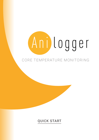# Anilogger

# CORE TEMPERATURE MONITORING

# QUICK START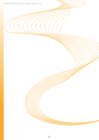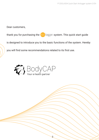Dear customers,

thank you for purchasing the  $\left($ Ani) logger system. This quick start guide

is designed to introduce you to the basic functions of the system. Hereby

you will find some recommendations related to its first use.

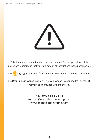

 This document does not replace the user manual. For an optimal use of the device, we recommend that you take note of all instructions in the user manual.

The **Anillegent** is designed for continuous temperature monitoring in animals.

The User Guide is available as a PDF version (Adobe Reader needed) on the USB memory stick provided with the system.

> +33. (0)2 61 53 08 14 support@animals-monitoring.com www.animals-monitoring.com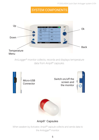## SYSTEM COMPONENTS



AniLogger® monitor collects, records and displays temperature data from Anipill® capsules.





## Anipill® Capsules

When awaken by Activator, Anipill® capsule collects and sends data to the Anilogger® monitor.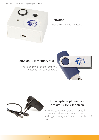

### Activator

Allows to start Anipill® capsules

## BodyCap USB memory stick

 Includes user guide and installer of AniLogger Manager software.





## USB adapter (optional) and 2 micro-USB/USB cables

Allows to supply Activator or Anilogger® monitor and allows the connection to AniLogger Manager software through the USB port.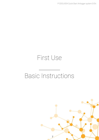P120GUI004 Quick Start Anilogger system.3 EN

# First Use

# Basic Instructions

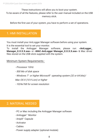These instructions will allow you to boot your system.

To be aware of all the features, please refer to the user manual included on the USB memory stick.

Before the first use of your system, you have to perform a set of operations.

## 1. HMI INSTALLATION

You must install your AniLogger Manager software before using your system. It is the essential tool to set your monitor.

To install the Anilogger Manager software, please run: «**AniLogger\_ Manager\_X.X.X.X.exe**» or «**MAC-AniLogger Manager\_X.X.X.X.exe**» & Mac driver files stored on the USB stick supplied with the system.

#### Minimum System Requirements :

- Processor 1GHz
- 500 Mo of disk space
- Windows  $7^\circ$  or higher Microsoft<sup>®</sup> operating system (32 or 64 bits)/

Mac OS X (10.9 Lion) or higher

- 1024x768 for screen resolution

## 2. MATERIAL NEEDED

- PC or Mac including the Anilogger Manager software
- Anilogger® Monitor
- Anipill® Capsule
- Activator
- Cables
- Power supply adapter (optional module)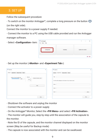### 3. SET UP

Follow the subsequent procedure:

- To switch on the monitor Anilogger®, complete a long pressure on the button  $\bigcirc$ (on the right side).

Connect the monitor to a power supply if needed.

- Connect the monitor to a PC using the USB cable provided and run the Anilogger manager software.

| - Select «Configuration» item: | <b>W</b> Anilogger<br>File About Help |           |                             |
|--------------------------------|---------------------------------------|-----------|-----------------------------|
|                                | Configuration                         | Unloading | Update the monitor<br>11 88 |
|                                |                                       |           |                             |

- Set up the monitor («**Monitor**» and «**Experiment Tab**»):

| <b>V</b> Options                                                                                              | C Options<br>$\times$<br>$\times$                                          |
|---------------------------------------------------------------------------------------------------------------|----------------------------------------------------------------------------|
| Experiment Backup Mode Reset<br>Monitor                                                                       | Backup Mode Reset<br>Monitor Experiment                                    |
| Channel:<br>Number of synchronizable data<br>17/06/19 07:38:43 +2:00<br>$-2000$<br>i m<br>4<br>$\overline{ }$ | Title:<br>The Title will be deplayed on the bottom of your monitor screen. |
| Apply                                                                                                         | Feld 2:                                                                    |
|                                                                                                               | Field 3:                                                                   |
|                                                                                                               | Feld 4 :<br>Apply                                                          |
| Close                                                                                                         | Close                                                                      |

- Shutdown the software and unplug the monitor
- Connect the activator to a power supply
- On the Anilogger® Monitor, Select the «**Pill Menu**» and select «**Pill Activation**».
- The monitor will guide you, step by step until the association of the capsule to the monitor.

- Note the ID of the capsule, and the monitor channel displayed on the monitor screen (May be useful for Backup mode)

- The capsule is now associated with the monitor and can be swallowed.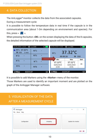## 4. DATA COLLECTION

The AniLogger® monitor collects the data from the associated capsules.

During a measurement cycle:

It is possible to follow the temperature data in real time if the capsule is in the communication area (about 1-3m depending on environement and species). For this, press « ».

When pressing the button «**OK***»* on the screen displaying the data of the 8 capsules, the detailed information of the selected capsule will be displayed.

| 10/01/2019 14:03                                         | ↑↓ max:2000    |    | 10/01/2019 14:03                    | ↑↓ max:2000       |                |  |
|----------------------------------------------------------|----------------|----|-------------------------------------|-------------------|----------------|--|
| $\blacktriangleright$ N°1: 37.32°C<br>$1 + 350$<br>1 min | $N^{\circ}5$ : |    | $37.32^{\circ}$ C<br>$N^{\circ}1$ : |                   |                |  |
| $N^{\circ}2$ :                                           | $N^{\circ}6$ : |    | 00:00:26                            | ↑↓ 350            |                |  |
| $N^{\circ}3$ :                                           |                |    | Min                                 | Max               | <b>Batt</b>    |  |
|                                                          | $N^{\circ}7:$  |    | $37.10^{\circ}$ C                   | $37.52^{\circ}$ C | OK             |  |
| $N^{\circ}4$ :                                           |                |    | 10/01/2019                          | 10/01/2019        |                |  |
|                                                          | $N^{\circ}8$ : |    | 13:45                               | 13:01             |                |  |
|                                                          |                |    |                                     |                   |                |  |
| $1$ Pill(s)<br><b>BODYCAP</b>                            |                | C2 | $1$ Pill(s)                         | <b>BODYCAP</b>    | C <sub>2</sub> |  |

It is possible to add Markers using the «Marker» menu of the monitor.

Those Markers are used to identify an important moment and are plotted on the graph of the Anilogger Manager software.

## 5. VISUALIZATION OF THE DATA AFTER A MEASUREMENT CYCLE

| Anilogger<br>File About Help |           | $\qquad \qquad -$  | Ω | ×    |
|------------------------------|-----------|--------------------|---|------|
| Configuration                | Unloading | Update the monitor |   |      |
|                              |           |                    |   | Ⅱ 88 |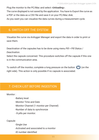Plug the monitor to the PC/Mac and select «Unloading». The curve displayed is not saved by the application. You have to Export the curve as a PDF or the data as a CSV file and save it on your PC/Mac disk. As you want you can visualize the data curves during a measurement cycle.

## 6. SWITCH OFF THE SYSTEM

Visualize the curve via *Anilogger Manager* and export the data in order to print or save them.

Deactivation of the capsules has to be done using menu *Pill > Pill Status / Deactivation*.

Select the capsule concerned. This procedure switches off the capsule if this one is in the communication area.

To switch off the monitor, complete a long pressure on the button  $\left(\begin{array}{c} \bullet \end{array}\right)$  (on the right side). This action is only possible if no capsule is associated.

## 7. CHECK-LIST BEFORE INGESTION

Monitor ·

-Battery level

-Monitor Time and Date

-Monitor Channel (1 monitor per Channel)

-Number of data to synchronize

- 8 pills per monitor.

Capsule:

-Single Use -Activated and associated to a monitor -ID number identified